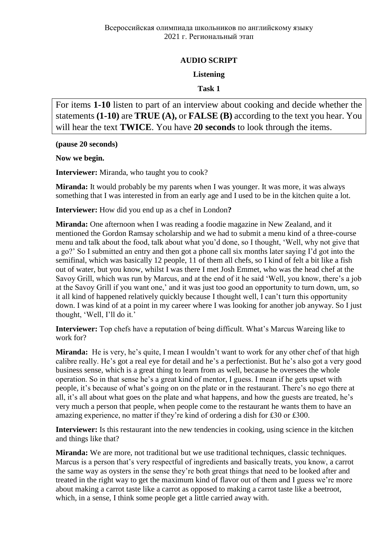#### **AUDIO SCRIPT**

#### **Listening**

#### **Task 1**

For items **1-10** listen to part of an interview about cooking and decide whether the statements **(1-10)** are **TRUE (A),** or **FALSE (B)** according to the text you hear. You will hear the text **TWICE**. You have **20 seconds** to look through the items.

**(pause 20 seconds)**

**Now we begin.**

**Interviewer:** Miranda, who taught you to cook?

**Miranda:** It would probably be my parents when I was younger. It was more, it was always something that I was interested in from an early age and I used to be in the kitchen quite a lot.

**Interviewer:** How did you end up as a chef in London**?**

**Miranda:** One afternoon when I was reading a foodie magazine in New Zealand, and it mentioned the Gordon Ramsay scholarship and we had to submit a menu kind of a three-course menu and talk about the food, talk about what you'd done, so I thought, 'Well, why not give that a go?' So I submitted an entry and then got a phone call six months later saying I'd got into the semifinal, which was basically 12 people, 11 of them all chefs, so I kind of felt a bit like a fish out of water, but you know, whilst I was there I met Josh Emmet, who was the head chef at the Savoy Grill, which was run by Marcus, and at the end of it he said 'Well, you know, there's a job at the Savoy Grill if you want one,' and it was just too good an opportunity to turn down, um, so it all kind of happened relatively quickly because I thought well, I can't turn this opportunity down. I was kind of at a point in my career where I was looking for another job anyway. So I just thought, 'Well, I'll do it.'

**Interviewer:** Top chefs have a reputation of being difficult. What's Marcus Wareing like to work for?

**Miranda:** He is very, he's quite, I mean I wouldn't want to work for any other chef of that high calibre really. He's got a real eye for detail and he's a perfectionist. But he's also got a very good business sense, which is a great thing to learn from as well, because he oversees the whole operation. So in that sense he's a great kind of mentor, I guess. I mean if he gets upset with people, it's because of what's going on on the plate or in the restaurant. There's no ego there at all, it's all about what goes on the plate and what happens, and how the guests are treated, he's very much a person that people, when people come to the restaurant he wants them to have an amazing experience, no matter if they're kind of ordering a dish for £30 or £300.

**Interviewer:** Is this restaurant into the new tendencies in cooking, using science in the kitchen and things like that?

**Miranda:** We are more, not traditional but we use traditional techniques, classic techniques. Marcus is a person that's very respectful of ingredients and basically treats, you know, a carrot the same way as oysters in the sense they're both great things that need to be looked after and treated in the right way to get the maximum kind of flavor out of them and I guess we're more about making a carrot taste like a carrot as opposed to making a carrot taste like a beetroot, which, in a sense, I think some people get a little carried away with.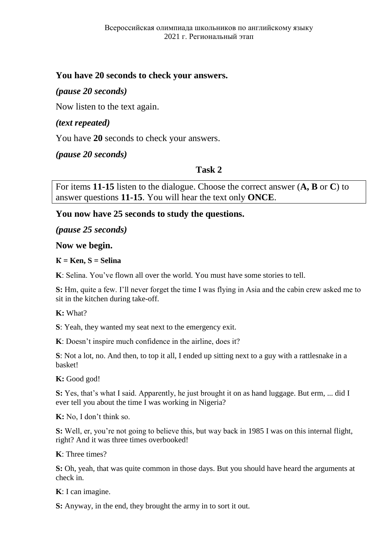# **You have 20 seconds to check your answers.**

### *(pause 20 seconds)*

Now listen to the text again.

### *(text repeated)*

You have **20** seconds to check your answers.

*(pause 20 seconds)*

# **Task 2**

For items **11-15** listen to the dialogue. Choose the correct answer (**A, B** or **C**) to answer questions **11-15**. You will hear the text only **ONCE**.

### **You now have 25 seconds to study the questions.**

*(pause 25 seconds)*

### **Now we begin.**

#### $K =$ **Ken, S** = Selina

**K**: Selina. You've flown all over the world. You must have some stories to tell.

**S:** Hm, quite a few. I'll never forget the time I was flying in Asia and the cabin crew asked me to sit in the kitchen during take-off.

#### **K:** What?

**S**: Yeah, they wanted my seat next to the emergency exit.

**K**: Doesn't inspire much confidence in the airline, does it?

**S**: Not a lot, no. And then, to top it all, I ended up sitting next to a guy with a rattlesnake in a basket!

**K:** Good god!

**S:** Yes, that's what I said. Apparently, he just brought it on as hand luggage. But erm, ... did I ever tell you about the time I was working in Nigeria?

**K:** No, I don't think so.

**S:** Well, er, you're not going to believe this, but way back in 1985 I was on this internal flight, right? And it was three times overbooked!

**K**: Three times?

**S:** Oh, yeah, that was quite common in those days. But you should have heard the arguments at check in.

**K**: I can imagine.

**S:** Anyway, in the end, they brought the army in to sort it out.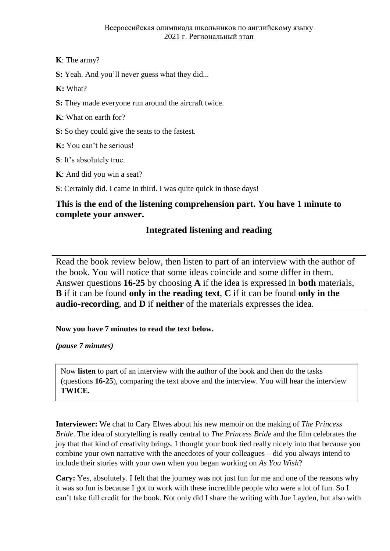**K**: The army?

**S:** Yeah. And you'll never guess what they did...

**K:** What?

**S:** They made everyone run around the aircraft twice.

**K**: What on earth for?

**S:** So they could give the seats to the fastest.

**K:** You can't be serious!

**S**: It's absolutely true.

**K**: And did you win a seat?

**S**: Certainly did. I came in third. I was quite quick in those days!

# **This is the end of the listening comprehension part. You have 1 minute to complete your answer.**

# **Integrated listening and reading**

Read the book review below, then listen to part of an interview with the author of the book. You will notice that some ideas coincide and some differ in them. Answer questions **16-25** by choosing **A** if the idea is expressed in **both** materials, **B** if it can be found **only in the reading text**, **C** if it can be found **only in the audio-recording**, and **D** if **neither** of the materials expresses the idea.

**Now you have 7 minutes to read the text below.** 

*(pause 7 minutes)*

Now **listen** to part of an interview with the author of the book and then do the tasks (questions **16-25**), comparing the text above and the interview. You will hear the interview **TWICE.**

**Interviewer:** We chat to Cary Elwes about his new memoir on the making of *The Princess Bride*. The idea of storytelling is really central to *The Princess Bride* and the film celebrates the joy that that kind of creativity brings. I thought your book tied really nicely into that because you combine your own narrative with the anecdotes of your colleagues – did you always intend to include their stories with your own when you began working on *As You Wish*?

**Cary:** Yes, absolutely. I felt that the journey was not just fun for me and one of the reasons why it was so fun is because I got to work with these incredible people who were a lot of fun. So I can't take full credit for the book. Not only did I share the writing with Joe Layden, but also with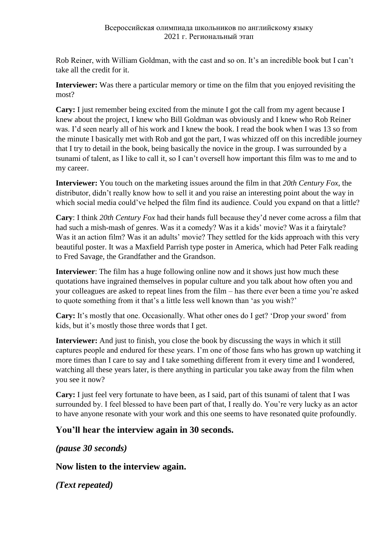Rob Reiner, with William Goldman, with the cast and so on. It's an incredible book but I can't take all the credit for it.

**Interviewer:** Was there a particular memory or time on the film that you enjoyed revisiting the most?

**Cary:** I just remember being excited from the minute I got the call from my agent because I knew about the project, I knew who Bill Goldman was obviously and I knew who Rob Reiner was. I'd seen nearly all of his work and I knew the book. I read the book when I was 13 so from the minute I basically met with Rob and got the part, I was whizzed off on this incredible journey that I try to detail in the book, being basically the novice in the group. I was surrounded by a tsunami of talent, as I like to call it, so I can't oversell how important this film was to me and to my career.

**Interviewer:** You touch on the marketing issues around the film in that *20th Century Fox*, the distributor, didn't really know how to sell it and you raise an interesting point about the way in which social media could've helped the film find its audience. Could you expand on that a little?

**Cary**: I think *20th Century Fox* had their hands full because they'd never come across a film that had such a mish-mash of genres. Was it a comedy? Was it a kids' movie? Was it a fairytale? Was it an action film? Was it an adults' movie? They settled for the kids approach with this very beautiful poster. It was a Maxfield Parrish type poster in America, which had Peter Falk reading to Fred Savage, the Grandfather and the Grandson.

**Interviewer**: The film has a huge following online now and it shows just how much these quotations have ingrained themselves in popular culture and you talk about how often you and your colleagues are asked to repeat lines from the film – has there ever been a time you're asked to quote something from it that's a little less well known than 'as you wish?'

**Cary:** It's mostly that one. Occasionally. What other ones do I get? 'Drop your sword' from kids, but it's mostly those three words that I get.

**Interviewer:** And just to finish, you close the book by discussing the ways in which it still captures people and endured for these years. I'm one of those fans who has grown up watching it more times than I care to say and I take something different from it every time and I wondered, watching all these years later, is there anything in particular you take away from the film when you see it now?

**Cary:** I just feel very fortunate to have been, as I said, part of this tsunami of talent that I was surrounded by. I feel blessed to have been part of that, I really do. You're very lucky as an actor to have anyone resonate with your work and this one seems to have resonated quite profoundly.

# **You'll hear the interview again in 30 seconds.**

*(pause 30 seconds)*

**Now listen to the interview again.**

*(Text repeated)*